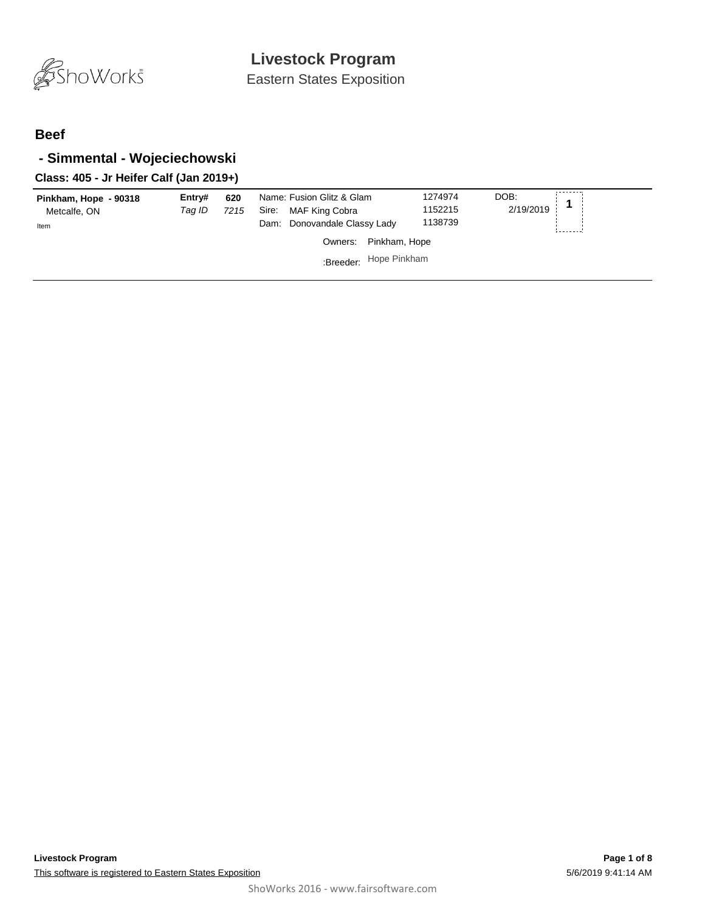

#### **Beef**

### **- Simmental - Wojeciechowski**

### **Class: 405 - Jr Heifer Calf (Jan 2019+)**

| Pinkham, Hope - 90318<br>Metcalfe, ON<br>Item | Entrv#<br>Taq ID | 620<br>7215 | Name: Fusion Glitz & Glam<br>MAF King Cobra<br>Sire:<br>Dam: Donovandale Classy Lady | 1274974<br>1152215<br>1138739 | ---------<br>DOB:<br>2/19/2019 |
|-----------------------------------------------|------------------|-------------|--------------------------------------------------------------------------------------|-------------------------------|--------------------------------|
|                                               |                  |             | Pinkham, Hope<br>Owners:                                                             |                               |                                |
|                                               |                  |             | :Breeder: Hope Pinkham                                                               |                               |                                |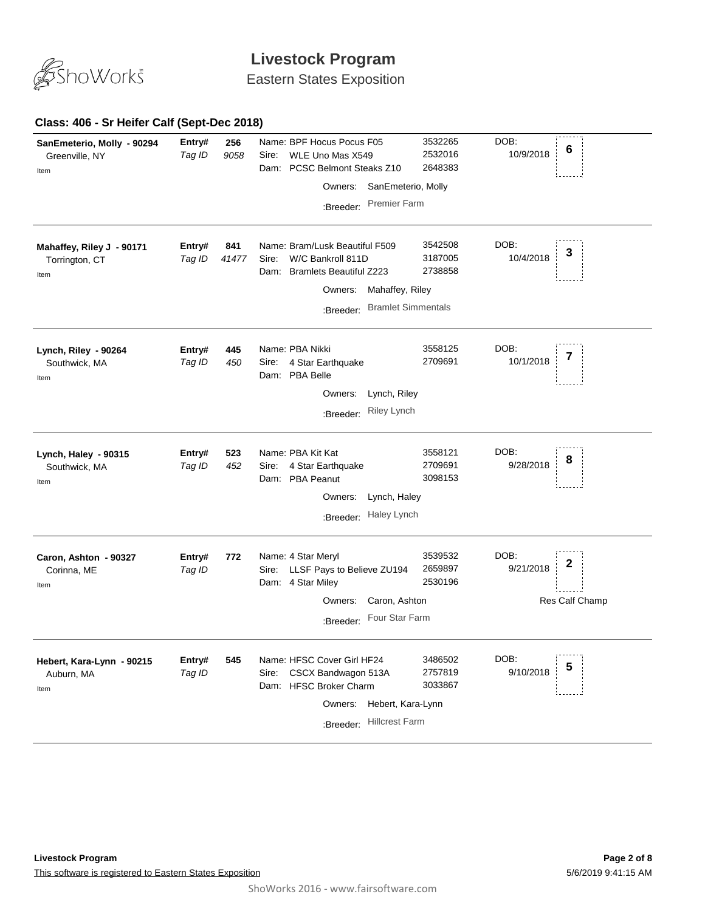

Eastern States Exposition

### **Class: 406 - Sr Heifer Calf (Sept-Dec 2018)**

| SanEmeterio, Molly - 90294<br>Greenville, NY<br>Item | Entry#<br>Tag ID | 256<br>9058  | Name: BPF Hocus Pocus F05<br>WLE Uno Mas X549<br>Sire:<br>PCSC Belmont Steaks Z10<br>Dam:<br>Owners: SanEmeterio, Molly<br><b>Premier Farm</b><br>:Breeder:                    | 3532265<br>2532016<br>2648383 | DOB:<br>6<br>10/9/2018                   |
|------------------------------------------------------|------------------|--------------|--------------------------------------------------------------------------------------------------------------------------------------------------------------------------------|-------------------------------|------------------------------------------|
| Mahaffey, Riley J - 90171<br>Torrington, CT<br>Item  | Entry#<br>Tag ID | 841<br>41477 | Name: Bram/Lusk Beautiful F509<br>W/C Bankroll 811D<br>Sire:<br><b>Bramlets Beautiful Z223</b><br>Dam:<br>Mahaffey, Riley<br>Owners:<br><b>Bramlet Simmentals</b><br>:Breeder: | 3542508<br>3187005<br>2738858 | DOB:<br>3<br>10/4/2018                   |
| Lynch, Riley - 90264<br>Southwick, MA<br>Item        | Entry#<br>Tag ID | 445<br>450   | Name: PBA Nikki<br>4 Star Earthquake<br>Sire:<br>Dam: PBA Belle<br>Lynch, Riley<br>Owners:<br>Riley Lynch<br>:Breeder:                                                         | 3558125<br>2709691            | DOB:<br>7<br>10/1/2018                   |
| Lynch, Haley - 90315<br>Southwick, MA<br>Item        | Entry#<br>Tag ID | 523<br>452   | Name: PBA Kit Kat<br>4 Star Earthquake<br>Sire:<br>Dam: PBA Peanut<br>Owners:<br>Lynch, Haley<br>Haley Lynch<br>:Breeder:                                                      | 3558121<br>2709691<br>3098153 | DOB:<br>8<br>9/28/2018                   |
| Caron, Ashton - 90327<br>Corinna, ME<br>Item         | Entry#<br>Tag ID | 772          | Name: 4 Star Meryl<br>LLSF Pays to Believe ZU194<br>Sire:<br>Dam: 4 Star Miley<br>Caron, Ashton<br>Owners:<br>Four Star Farm<br>:Breeder:                                      | 3539532<br>2659897<br>2530196 | DOB:<br>2<br>9/21/2018<br>Res Calf Champ |
| Hebert, Kara-Lynn - 90215<br>Auburn, MA<br>Item      | Entry#<br>Tag ID | 545          | Name: HFSC Cover Girl HF24<br>CSCX Bandwagon 513A<br>Sire:<br>Dam: HFSC Broker Charm<br>Owners:<br>Hebert, Kara-Lynn<br><b>Hillcrest Farm</b><br>:Breeder:                     | 3486502<br>2757819<br>3033867 | DOB:<br>5<br>9/10/2018                   |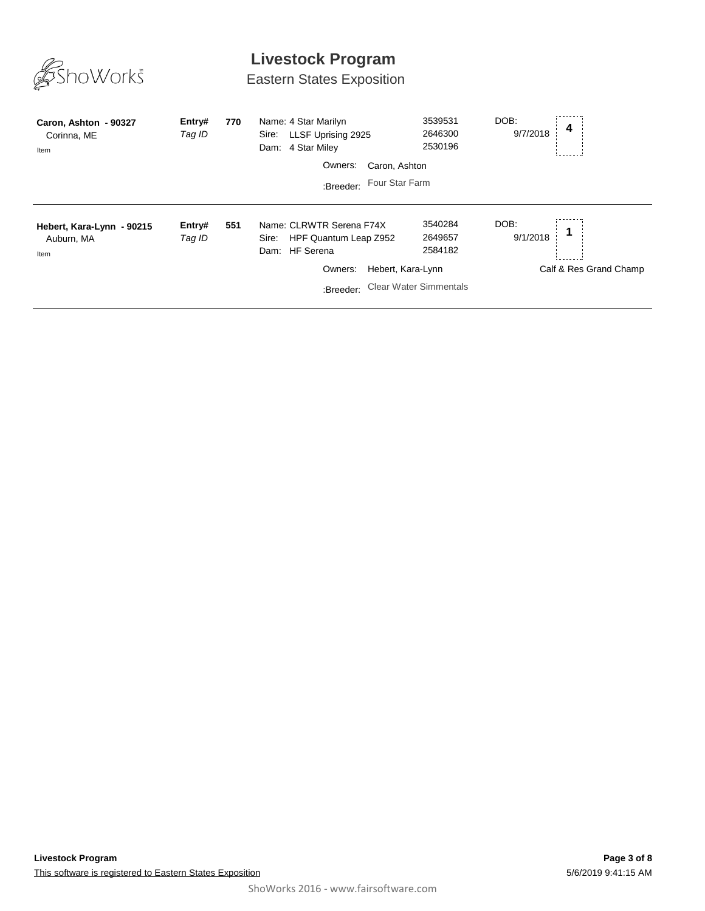

Eastern States Exposition

| Caron, Ashton - 90327<br>Corinna, ME<br>Item    | Entry#<br>Tag ID | 770 | Name: 4 Star Marilyn<br>LLSF Uprising 2925<br>Sire:<br>4 Star Miley<br>Dam:            | 3539531<br>2646300<br>2530196 | DOB:<br>4<br>9/7/2018  |
|-------------------------------------------------|------------------|-----|----------------------------------------------------------------------------------------|-------------------------------|------------------------|
|                                                 |                  |     | Caron, Ashton<br>Owners:                                                               |                               |                        |
|                                                 |                  |     | Four Star Farm<br>:Breeder:                                                            |                               |                        |
| Hebert, Kara-Lynn - 90215<br>Auburn, MA<br>Item | Entry#<br>Tag ID | 551 | Name: CLRWTR Serena F74X<br>HPF Quantum Leap Z952<br>Sire:<br><b>HF</b> Serena<br>Dam: | 3540284<br>2649657<br>2584182 | DOB:<br>9/1/2018       |
|                                                 |                  |     | Hebert, Kara-Lynn<br>Owners:                                                           |                               | Calf & Res Grand Champ |
|                                                 |                  |     | :Breeder:                                                                              | <b>Clear Water Simmentals</b> |                        |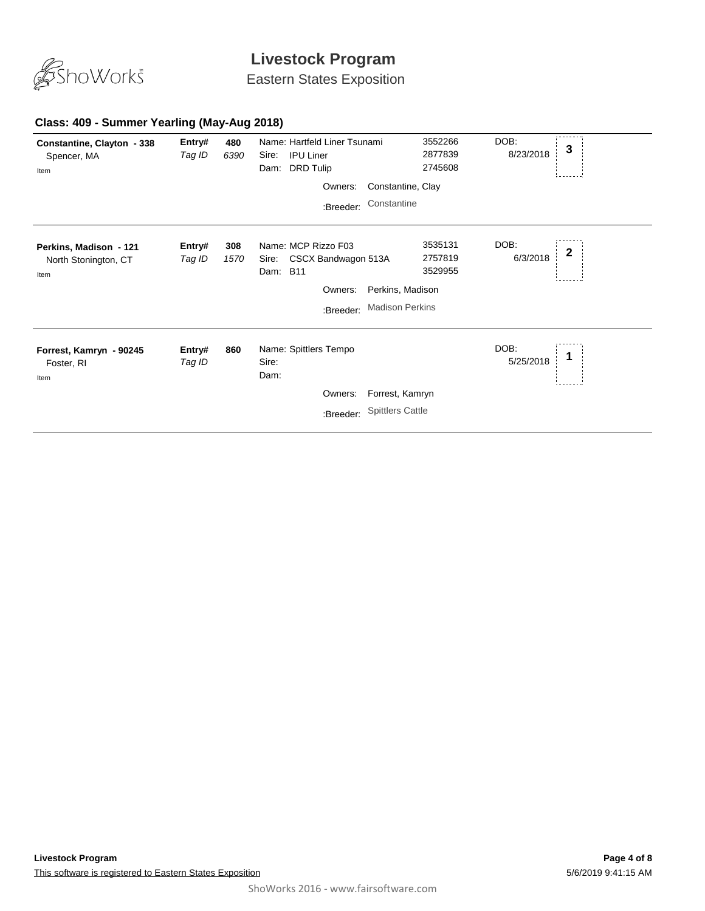

Eastern States Exposition

### **Class: 409 - Summer Yearling (May-Aug 2018)**

| Constantine, Clayton - 338<br>Spencer, MA<br>Item      | Entry#<br>Tag ID | 480<br>6390 | Name: Hartfeld Liner Tsunami<br><b>IPU Liner</b><br>Sire:<br><b>DRD Tulip</b><br>Dam: |                         | 3552266<br>2877839<br>2745608 | DOB:<br>8/23/2018 | 3 |
|--------------------------------------------------------|------------------|-------------|---------------------------------------------------------------------------------------|-------------------------|-------------------------------|-------------------|---|
|                                                        |                  |             | Owners:                                                                               | Constantine, Clay       |                               |                   |   |
|                                                        |                  |             | :Breeder:                                                                             | Constantine             |                               |                   |   |
| Perkins, Madison - 121<br>North Stonington, CT<br>Item | Entry#<br>Tag ID | 308<br>1570 | Name: MCP Rizzo F03<br>CSCX Bandwagon 513A<br>Sire:<br>Dam: B11                       |                         | 3535131<br>2757819<br>3529955 | DOB:<br>6/3/2018  | 2 |
|                                                        |                  |             | Owners:                                                                               | Perkins, Madison        |                               |                   |   |
|                                                        |                  |             | :Breeder:                                                                             | <b>Madison Perkins</b>  |                               |                   |   |
| Forrest, Kamryn - 90245<br>Foster, RI<br>Item          | Entry#<br>Tag ID | 860         | Name: Spittlers Tempo<br>Sire:<br>Dam:                                                |                         |                               | DOB:<br>5/25/2018 |   |
|                                                        |                  |             | Owners:                                                                               | Forrest, Kamryn         |                               |                   |   |
|                                                        |                  |             | :Breeder:                                                                             | <b>Spittlers Cattle</b> |                               |                   |   |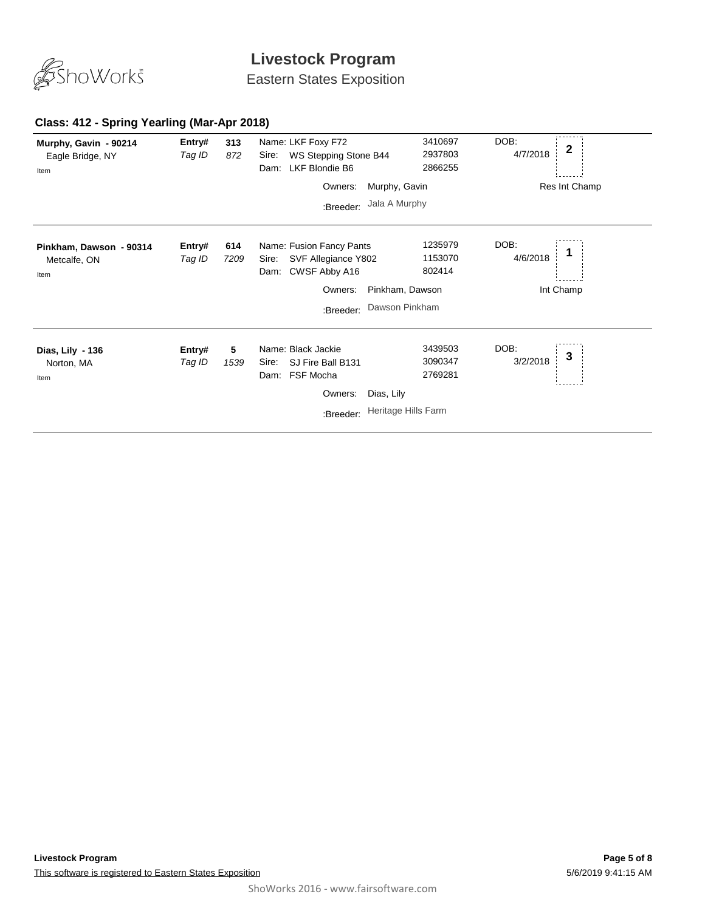

Eastern States Exposition

### **Class: 412 - Spring Yearling (Mar-Apr 2018)**

| Murphy, Gavin - 90214<br>Eagle Bridge, NY<br>Item | Entry#<br>Tag ID | 313<br>872  | Name: LKF Foxy F72<br>WS Stepping Stone B44<br>Sire:<br>Dam: LKF Blondie B6    | 3410697<br>2937803<br>2866255 | DOB:<br>4/7/2018 | 2             |
|---------------------------------------------------|------------------|-------------|--------------------------------------------------------------------------------|-------------------------------|------------------|---------------|
|                                                   |                  |             | Owners:                                                                        | Murphy, Gavin                 |                  | Res Int Champ |
|                                                   |                  |             | :Breeder:                                                                      | Jala A Murphy                 |                  |               |
| Pinkham, Dawson - 90314<br>Metcalfe, ON<br>Item   | Entry#<br>Tag ID | 614<br>7209 | Name: Fusion Fancy Pants<br>SVF Allegiance Y802<br>Sire:<br>Dam: CWSF Abby A16 | 1235979<br>1153070<br>802414  | DOB:<br>4/6/2018 |               |
|                                                   |                  |             | Owners:                                                                        | Pinkham, Dawson               |                  | Int Champ     |
|                                                   |                  |             | :Breeder:                                                                      | Dawson Pinkham                |                  |               |
| Dias, Lily - 136<br>Norton, MA<br>Item            | Entry#<br>Tag ID | 5<br>1539   | Name: Black Jackie<br>SJ Fire Ball B131<br>Sire:<br>Dam: FSF Mocha             | 3439503<br>3090347<br>2769281 | DOB:<br>3/2/2018 | 3             |
|                                                   |                  |             | Owners:                                                                        | Dias, Lily                    |                  |               |
|                                                   |                  |             | :Breeder:                                                                      | Heritage Hills Farm           |                  |               |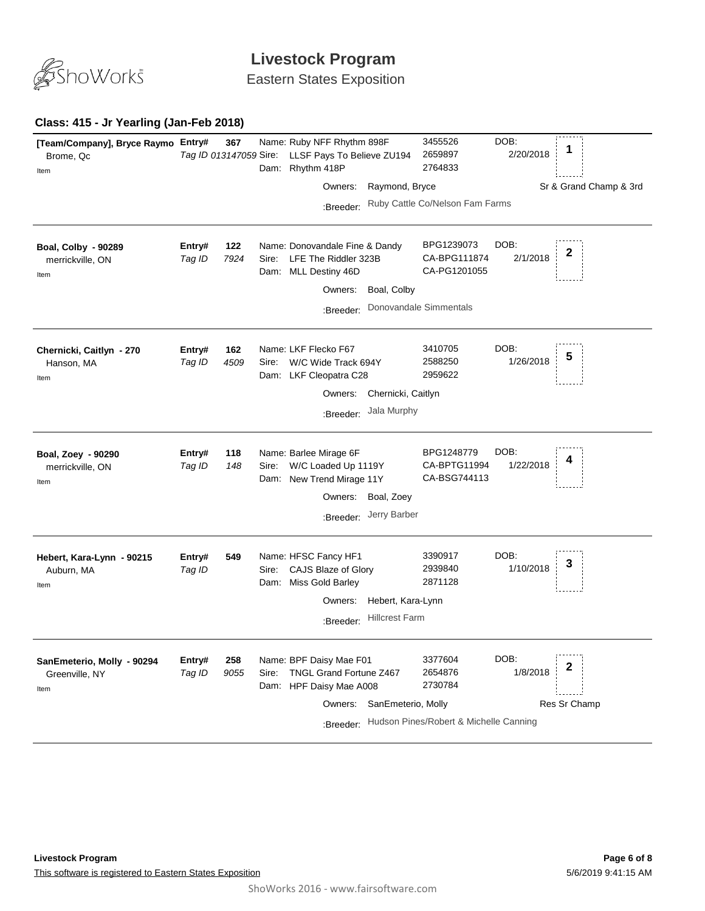

Eastern States Exposition

### **Class: 415 - Jr Yearling (Jan-Feb 2018)**

| [Team/Company], Bryce Raymo Entry#<br>Brome, Qc<br>Item | Tag ID 013147059 Sire: | 367         |               | Name: Ruby NFF Rhythm 898F<br>LLSF Pays To Believe ZU194<br>Dam: Rhythm 418P                  |                                            | 3455526<br>2659897<br>2764833              | DOB:<br>2/20/2018 | 1                      |
|---------------------------------------------------------|------------------------|-------------|---------------|-----------------------------------------------------------------------------------------------|--------------------------------------------|--------------------------------------------|-------------------|------------------------|
|                                                         |                        |             |               | Owners:                                                                                       | Raymond, Bryce                             |                                            |                   | Sr & Grand Champ & 3rd |
|                                                         |                        |             |               | :Breeder:                                                                                     |                                            | Ruby Cattle Co/Nelson Fam Farms            |                   |                        |
| <b>Boal, Colby - 90289</b><br>merrickville, ON<br>Item  | Entry#<br>Tag ID       | 122<br>7924 | Sire:<br>Dam: | Name: Donovandale Fine & Dandy<br>LFE The Riddler 323B<br>MLL Destiny 46D<br>Owners:          | Boal, Colby                                | BPG1239073<br>CA-BPG111874<br>CA-PG1201055 | DOB:<br>2/1/2018  | 2                      |
|                                                         |                        |             |               | :Breeder:                                                                                     |                                            | Donovandale Simmentals                     |                   |                        |
| Chernicki, Caitlyn - 270<br>Hanson, MA<br>Item          | Entry#<br>Tag ID       | 162<br>4509 | Sire:<br>Dam: | Name: LKF Flecko F67<br>W/C Wide Track 694Y<br>LKF Cleopatra C28<br>Owners:                   | Chernicki, Caitlyn                         | 3410705<br>2588250<br>2959622              | DOB:<br>1/26/2018 | 5                      |
|                                                         |                        |             |               | :Breeder:                                                                                     | Jala Murphy                                |                                            |                   |                        |
| Boal, Zoey - 90290<br>merrickville, ON<br>Item          | Entry#<br>Tag ID       | 118<br>148  | Sire:<br>Dam: | Name: Barlee Mirage 6F<br>W/C Loaded Up 1119Y<br>New Trend Mirage 11Y<br>Owners:<br>:Breeder: | Boal, Zoey<br>Jerry Barber                 | BPG1248779<br>CA-BPTG11994<br>CA-BSG744113 | DOB:<br>1/22/2018 |                        |
| Hebert, Kara-Lynn - 90215<br>Auburn, MA<br>Item         | Entry#<br>Tag ID       | 549         | Sire:<br>Dam: | Name: HFSC Fancy HF1<br>CAJS Blaze of Glory<br>Miss Gold Barley<br>Owners:<br>:Breeder:       | Hebert, Kara-Lynn<br><b>Hillcrest Farm</b> | 3390917<br>2939840<br>2871128              | DOB:<br>1/10/2018 |                        |
|                                                         |                        |             |               |                                                                                               |                                            |                                            |                   |                        |
| SanEmeterio, Molly - 90294<br>Greenville, NY<br>Item    | Entry#<br>Tag ID       | 258<br>9055 | Sire:<br>Dam: | Name: BPF Daisy Mae F01<br>TNGL Grand Fortune Z467<br>HPF Daisy Mae A008                      |                                            | 3377604<br>2654876<br>2730784              | DOB:<br>1/8/2018  | 2                      |
|                                                         |                        |             |               | Owners:<br>:Breeder:                                                                          | SanEmeterio, Molly                         | Hudson Pines/Robert & Michelle Canning     |                   | Res Sr Champ           |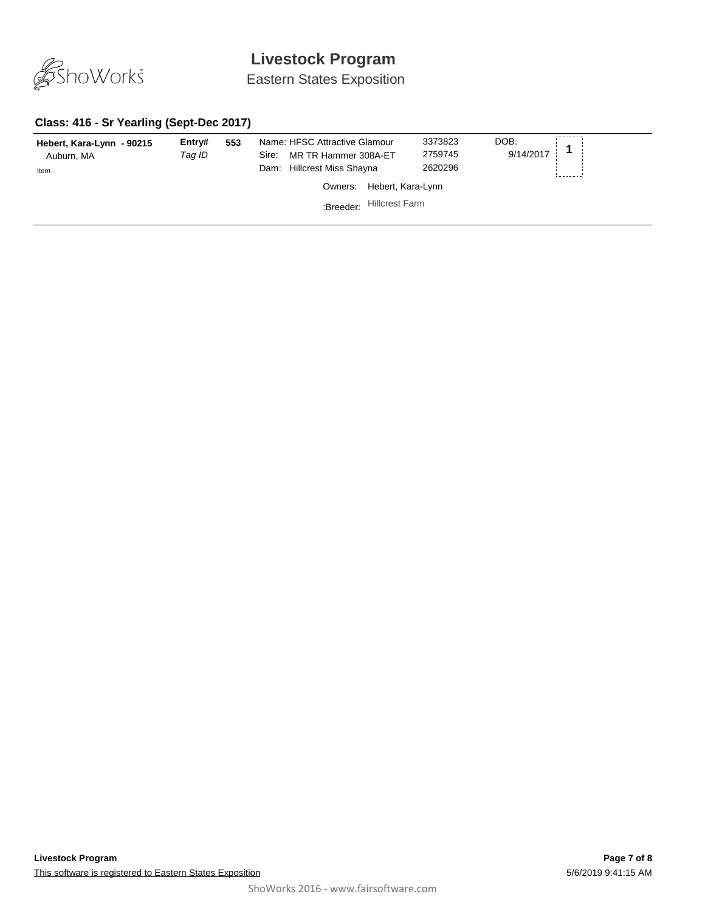

Eastern States Exposition

### **Class: 416 - Sr Yearling (Sept-Dec 2017)**

| Hebert, Kara-Lynn - 90215<br>Auburn, MA<br>Item | Entry#<br>Taq ID | 553 | Name: HFSC Attractive Glamour<br>MR TR Hammer 308A-ET<br>Sire:<br>Hillcrest Miss Shayna<br>Dam: |                       | 3373823<br>2759745<br>2620296 | DOB:<br>9/14/2017 |  |
|-------------------------------------------------|------------------|-----|-------------------------------------------------------------------------------------------------|-----------------------|-------------------------------|-------------------|--|
|                                                 |                  |     | Owners:                                                                                         | Hebert, Kara-Lynn     |                               |                   |  |
|                                                 |                  |     | :Breeder:                                                                                       | <b>Hillcrest Farm</b> |                               |                   |  |